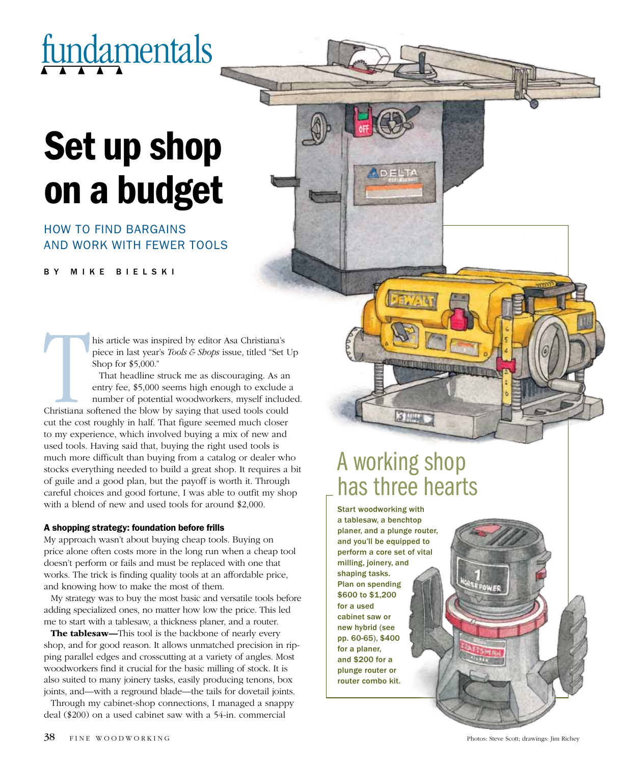# fundamentals

# Set up shop on a budget

HOW TO FIND BARGAINS AND WORK WITH FEWER TOOLS

By Mike Bielski

his article was inspired by editor Asa Christiana's piece in last year's *Tools & Shops* issue, titled "Set Up Shop for \$5,000."

Christiana s That headline struck me as discouraging. As an entry fee, \$5,000 seems high enough to exclude a number of potential woodworkers, myself included. Christiana softened the blow by saying that used tools could cut the cost roughly in half. That figure seemed much closer to my experience, which involved buying a mix of new and used tools. Having said that, buying the right used tools is much more difficult than buying from a catalog or dealer who stocks everything needed to build a great shop. It requires a bit of guile and a good plan, but the payoff is worth it. Through careful choices and good fortune, I was able to outfit my shop with a blend of new and used tools for around \$2,000.

### A shopping strategy: foundation before frills

My approach wasn't about buying cheap tools. Buying on price alone often costs more in the long run when a cheap tool doesn't perform or fails and must be replaced with one that works. The trick is finding quality tools at an affordable price, and knowing how to make the most of them.

My strategy was to buy the most basic and versatile tools before adding specialized ones, no matter how low the price. This led me to start with a tablesaw, a thickness planer, and a router.

The tablesaw—This tool is the backbone of nearly every shop, and for good reason. It allows unmatched precision in ripping parallel edges and crosscutting at a variety of angles. Most woodworkers find it crucial for the basic milling of stock. It is also suited to many joinery tasks, easily producing tenons, box joints, and—with a reground blade—the tails for dovetail joints.

Through my cabinet-shop connections, I managed a snappy deal (\$200) on a used cabinet saw with a 54-in. commercial

## A working shop has three hearts

Start woodworking with a tablesaw, a benchtop planer, and a plunge router, and you'll be equipped to perform a core set of vital milling, joinery, and shaping tasks. Plan on spending \$600 to \$1,200 for a used cabinet saw or new hybrid (see pp. 60-65), \$400 for a planer, and \$200 for a plunge router or router combo kit.

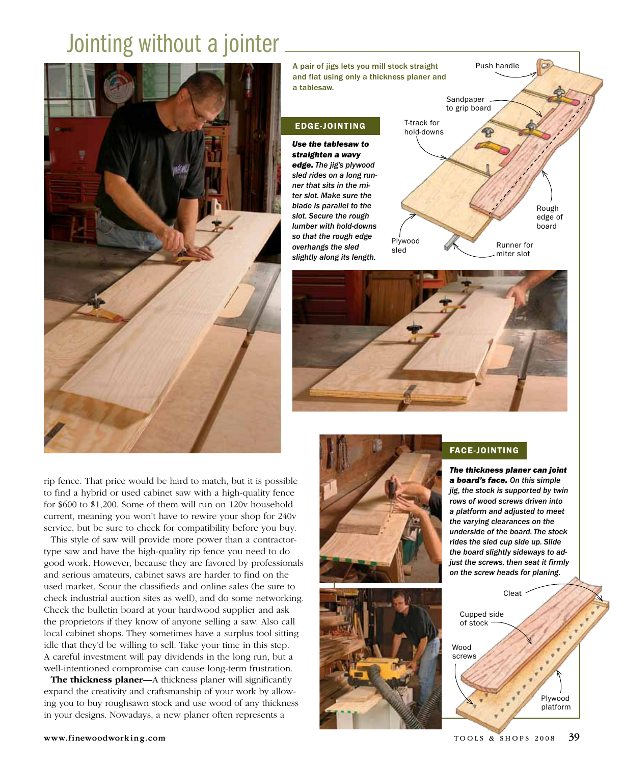### Jointing without a jointer



rip fence. That price would be hard to match, but it is possible to find a hybrid or used cabinet saw with a high-quality fence for \$600 to \$1,200. Some of them will run on 120v household current, meaning you won't have to rewire your shop for 240v service, but be sure to check for compatibility before you buy.

This style of saw will provide more power than a contractortype saw and have the high-quality rip fence you need to do good work. However, because they are favored by professionals and serious amateurs, cabinet saws are harder to find on the used market. Scour the classifieds and online sales (be sure to check industrial auction sites as well), and do some networking. Check the bulletin board at your hardwood supplier and ask the proprietors if they know of anyone selling a saw. Also call local cabinet shops. They sometimes have a surplus tool sitting idle that they'd be willing to sell. Take your time in this step. A careful investment will pay dividends in the long run, but a well-intentioned compromise can cause long-term frustration.

The thickness planer—A thickness planer will significantly expand the creativity and craftsmanship of your work by allowing you to buy roughsawn stock and use wood of any thickness in your designs. Nowadays, a new planer often represents a

*Use the tablesaw to straighten a wavy edge. The jig's plywood sled rides on a long runner that sits in the miter slot. Make sure the blade is parallel to the slot. Secure the rough lumber with hold-downs*  edge-jointing Rough edge of board A pair of jigs lets you mill stock straight and flat using only a thickness planer and a tablesaw. T-track for hold-downs Sandpaper to grip board Push handle



Plywood sled



*so that the rough edge overhangs the sled slightly along its length.*

### face-jointing

*The thickness planer can joint a board's face. On this simple jig, the stock is supported by twin rows of wood screws driven into a platform and adjusted to meet the varying clearances on the underside of the board. The stock rides the sled cup side up. Slide the board slightly sideways to adjust the screws, then seat it firmly on the screw heads for planing.*

Runner for miter slot

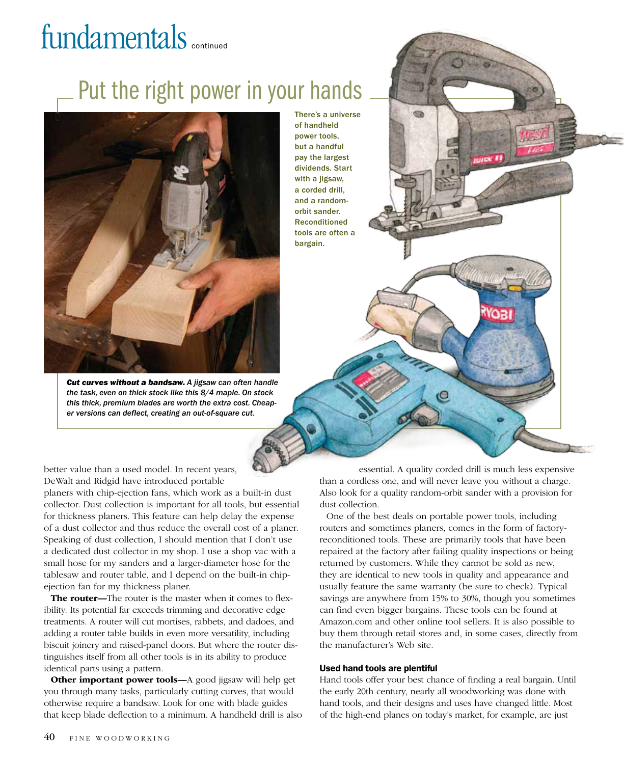## fundamentals <sub>continued</sub>

## Put the right power in your hands



*Cut curves without a bandsaw. A jigsaw can often handle the task, even on thick stock like this 8/4 maple. On stock this thick, premium blades are worth the extra cost. Cheaper versions can deflect, creating an out-of-square cut.*

There's a universe of handheld power tools, but a handful pay the largest dividends. Start with a jigsaw, a corded drill, and a randomorbit sander. Reconditioned tools are often a bargain.

> essential. A quality corded drill is much less expensive than a cordless one, and will never leave you without a charge. Also look for a quality random-orbit sander with a provision for dust collection.

ю

One of the best deals on portable power tools, including routers and sometimes planers, comes in the form of factoryreconditioned tools. These are primarily tools that have been repaired at the factory after failing quality inspections or being returned by customers. While they cannot be sold as new, they are identical to new tools in quality and appearance and usually feature the same warranty (be sure to check). Typical savings are anywhere from 15% to 30%, though you sometimes can find even bigger bargains. These tools can be found at Amazon.com and other online tool sellers. It is also possible to buy them through retail stores and, in some cases, directly from the manufacturer's Web site.

### Used hand tools are plentiful

Hand tools offer your best chance of finding a real bargain. Until the early 20th century, nearly all woodworking was done with hand tools, and their designs and uses have changed little. Most of the high-end planes on today's market, for example, are just

better value than a used model. In recent years, DeWalt and Ridgid have introduced portable

planers with chip-ejection fans, which work as a built-in dust collector. Dust collection is important for all tools, but essential for thickness planers. This feature can help delay the expense of a dust collector and thus reduce the overall cost of a planer. Speaking of dust collection, I should mention that I don't use a dedicated dust collector in my shop. I use a shop vac with a small hose for my sanders and a larger-diameter hose for the tablesaw and router table, and I depend on the built-in chipejection fan for my thickness planer.

The router—The router is the master when it comes to flexibility. Its potential far exceeds trimming and decorative edge treatments. A router will cut mortises, rabbets, and dadoes, and adding a router table builds in even more versatility, including biscuit joinery and raised-panel doors. But where the router distinguishes itself from all other tools is in its ability to produce identical parts using a pattern.

Other important power tools—A good jigsaw will help get you through many tasks, particularly cutting curves, that would otherwise require a bandsaw. Look for one with blade guides that keep blade deflection to a minimum. A handheld drill is also